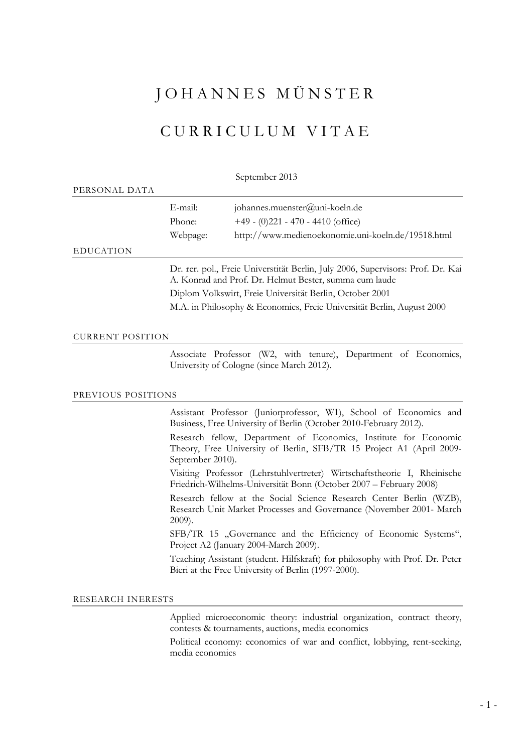# J O H A N N E S M Ü N S T E R

# C U R R I C U L U M V I T A E

September 2013

| PERSONAL DATA |          |                                                                                                                                                                                                       |  |
|---------------|----------|-------------------------------------------------------------------------------------------------------------------------------------------------------------------------------------------------------|--|
|               | E-mail:  | johannes.muenster@uni-koeln.de                                                                                                                                                                        |  |
|               | Phone:   | $+49 - (0)221 - 470 - 4410$ (office)                                                                                                                                                                  |  |
|               | Webpage: | http://www.medienoekonomie.uni-koeln.de/19518.html                                                                                                                                                    |  |
| EDUCATION     |          |                                                                                                                                                                                                       |  |
|               |          | Dr. rer. pol., Freie Universtität Berlin, July 2006, Supervisors: Prof. Dr. Kai<br>A. Konrad and Prof. Dr. Helmut Bester, summa cum laude<br>Diplom Volkswirt, Freie Universität Berlin, October 2001 |  |
|               |          |                                                                                                                                                                                                       |  |
|               |          | M.A. in Philosophy & Economics, Freie Universität Berlin, August 2000                                                                                                                                 |  |
|               |          |                                                                                                                                                                                                       |  |

#### CURRENT POSITION

 Associate Professor (W2, with tenure), Department of Economics, University of Cologne (since March 2012).

#### PREVIOUS POSITIONS

 Assistant Professor (Juniorprofessor, W1), School of Economics and Business, Free University of Berlin (October 2010-February 2012).

Research fellow, Department of Economics, Institute for Economic Theory, Free University of Berlin, SFB/TR 15 Project A1 (April 2009- September 2010).

Visiting Professor (Lehrstuhlvertreter) Wirtschaftstheorie I, Rheinische Friedrich-Wilhelms-Universität Bonn (October 2007 – February 2008)

Research fellow at the Social Science Research Center Berlin (WZB), Research Unit Market Processes and Governance (November 2001- March 2009).

SFB/TR 15 .Governance and the Efficiency of Economic Systems", Project A2 (January 2004-March 2009).

Teaching Assistant (student. Hilfskraft) for philosophy with Prof. Dr. Peter Bieri at the Free University of Berlin (1997-2000).

#### RESEARCH INERESTS

 Applied microeconomic theory: industrial organization, contract theory, contests & tournaments, auctions, media economics

Political economy: economics of war and conflict, lobbying, rent-seeking, media economics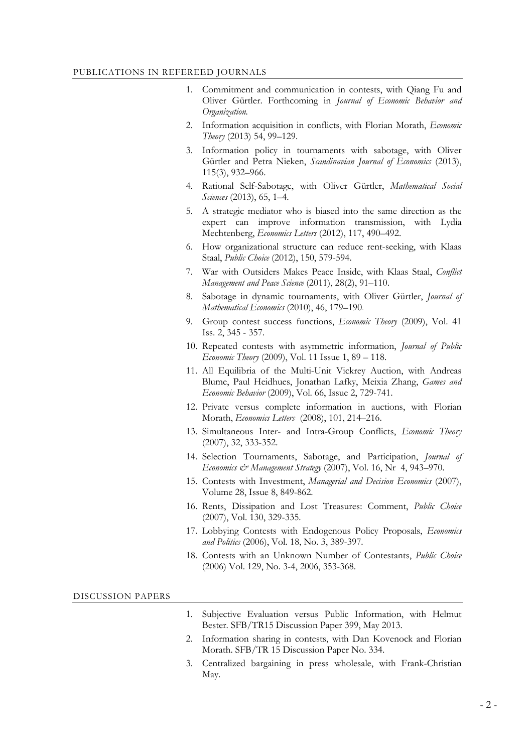#### PUBLICATIONS IN REFEREED JOURNALS

- Commitment and communication in contests, with Qiang Fu and Oliver Gürtler. Forthcoming in *Journal of Economic Behavior and Organization.*
- 2. Information acquisition in conflicts, with Florian Morath, *Economic Theory* (2013) 54, 99–129.
- 3. Information policy in tournaments with sabotage, with Oliver Gürtler and Petra Nieken, *Scandinavian Journal of Economics* (2013), 115(3), 932–966.
- 4. Rational Self-Sabotage, with Oliver Gürtler, *Mathematical Social Sciences* (2013), 65, 1–4.
- 5. A strategic mediator who is biased into the same direction as the expert can improve information transmission, with Lydia Mechtenberg, *Economics Letters* (2012), 117, 490–492.
- 6. How organizational structure can reduce rent-seeking, with Klaas Staal, *Public Choice* (2012), 150, 579-594.
- 7. War with Outsiders Makes Peace Inside, with Klaas Staal, *Conflict Management and Peace Science* (2011), 28(2), 91–110.
- 8. Sabotage in dynamic tournaments, with Oliver Gürtler, *Journal of Mathematical Economics* (2010), 46, 179–190.
- 9. Group contest success functions, *Economic Theory* (2009), Vol. 41 Iss. 2, 345 - 357.
- 10. Repeated contests with asymmetric information, *Journal of Public Economic Theory* (2009), Vol. 11 Issue 1, 89 – 118.
- 11. All Equilibria of the Multi-Unit Vickrey Auction, with Andreas Blume, Paul Heidhues, Jonathan Lafky, Meixia Zhang, *Games and Economic Behavior* (2009), Vol. 66, Issue 2, 729-741.
- 12. Private versus complete information in auctions, with Florian Morath, *Economics Letters* (2008), 101, 214–216.
- 13. Simultaneous Inter- and Intra-Group Conflicts, *Economic Theory* (2007), 32, 333-352.
- 14. Selection Tournaments, Sabotage, and Participation, *Journal of Economics & Management Strategy* (2007), Vol. 16, Nr 4, 943–970.
- 15. Contests with Investment, *Managerial and Decision Economics* (2007), Volume 28, Issue 8, 849-862.
- 16. Rents, Dissipation and Lost Treasures: Comment, *Public Choice* (2007), Vol. 130, 329-335.
- 17. Lobbying Contests with Endogenous Policy Proposals, *Economics and Politics* (2006), Vol. 18, No. 3, 389-397.
- 18. Contests with an Unknown Number of Contestants, *Public Choice*  (2006) Vol. 129, No. 3-4, 2006, 353-368.

DISCUSSION PAPERS

- 1. Subjective Evaluation versus Public Information, with Helmut Bester. SFB/TR15 Discussion Paper 399, May 2013.
- 2. Information sharing in contests, with Dan Kovenock and Florian Morath. SFB/TR 15 Discussion Paper No. 334.
- 3. Centralized bargaining in press wholesale, with Frank-Christian May.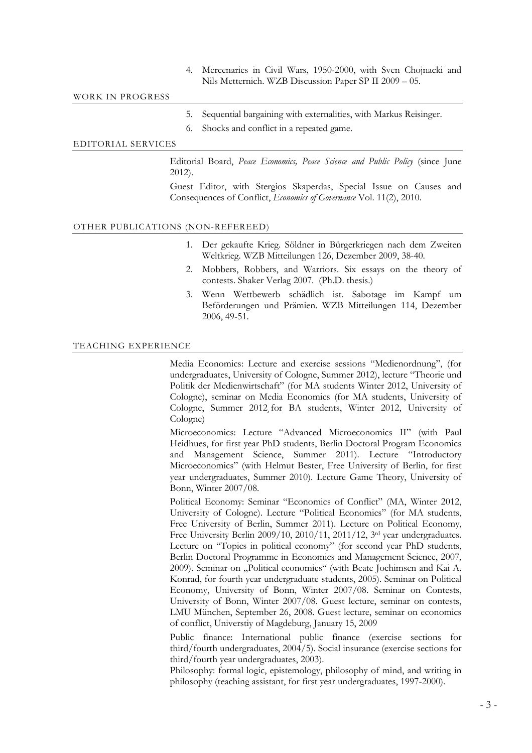### 4. Mercenaries in Civil Wars, 1950-2000, with Sven Chojnacki and Nils Metternich. WZB Discussion Paper SP II 2009 – 05.

#### WORK IN PROGRESS

- 5. Sequential bargaining with externalities, with Markus Reisinger.
- 6. Shocks and conflict in a repeated game.

# EDITORIAL SERVICES

 Editorial Board, *Peace Economics, Peace Science and Public Policy* (since June 2012).

Guest Editor, with Stergios Skaperdas, Special Issue on Causes and Consequences of Conflict, *Economics of Governance* Vol. 11(2), 2010.

#### OTHER PUBLICATIONS (NON-REFEREED)

- 1. Der gekaufte Krieg. Söldner in Bürgerkriegen nach dem Zweiten Weltkrieg. WZB Mitteilungen 126, Dezember 2009, 38-40.
- 2. Mobbers, Robbers, and Warriors. Six essays on the theory of contests. Shaker Verlag 2007. (Ph.D. thesis.)
- 3. Wenn Wettbewerb schädlich ist. Sabotage im Kampf um Beförderungen und Prämien. WZB Mitteilungen 114, Dezember 2006, 49-51.

### TEACHING EXPERIENCE

 Media Economics: Lecture and exercise sessions "Medienordnung", (for undergraduates, University of Cologne, Summer 2012), lecture "Theorie und Politik der Medienwirtschaft" (for MA students Winter 2012, University of Cologne), seminar on Media Economics (for MA students, University of Cologne, Summer 2012¸for BA students, Winter 2012, University of Cologne)

Microeconomics: Lecture "Advanced Microeconomics II" (with Paul Heidhues, for first year PhD students, Berlin Doctoral Program Economics and Management Science, Summer 2011). Lecture "Introductory Microeconomics" (with Helmut Bester, Free University of Berlin, for first year undergraduates, Summer 2010). Lecture Game Theory, University of Bonn, Winter 2007/08.

Political Economy: Seminar "Economics of Conflict" (MA, Winter 2012, University of Cologne). Lecture "Political Economics" (for MA students, Free University of Berlin, Summer 2011). Lecture on Political Economy, Free University Berlin 2009/10, 2010/11, 2011/12, 3rd year undergraduates. Lecture on "Topics in political economy" (for second year PhD students, Berlin Doctoral Programme in Economics and Management Science, 2007, 2009). Seminar on "Political economics" (with Beate Jochimsen and Kai A. Konrad, for fourth year undergraduate students, 2005). Seminar on Political Economy, University of Bonn, Winter 2007/08. Seminar on Contests, University of Bonn, Winter 2007/08. Guest lecture, seminar on contests, LMU München, September 26, 2008. Guest lecture, seminar on economics of conflict, Universtiy of Magdeburg, January 15, 2009

Public finance: International public finance (exercise sections for third/fourth undergraduates, 2004/5). Social insurance (exercise sections for third/fourth year undergraduates, 2003).

Philosophy: formal logic, epistemology, philosophy of mind, and writing in philosophy (teaching assistant, for first year undergraduates, 1997-2000).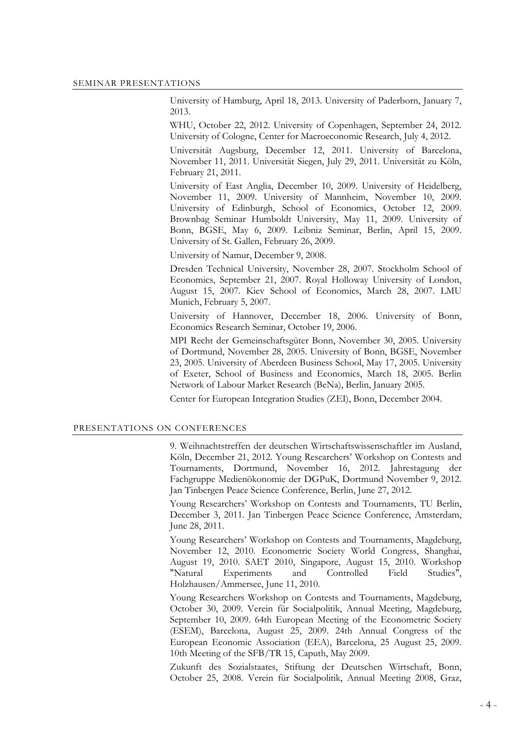University of Hamburg, April 18, 2013. University of Paderborn, January 7, 2013.

WHU, October 22, 2012. University of Copenhagen, September 24, 2012. University of Cologne, Center for Macroeconomic Research, July 4, 2012.

Universität Augsburg, December 12, 2011. University of Barcelona, November 11, 2011. Universität Siegen, July 29, 2011. Universität zu Köln, February 21, 2011.

University of East Anglia, December 10, 2009. University of Heidelberg, November 11, 2009. University of Mannheim, November 10, 2009. University of Edinburgh, School of Economics, October 12, 2009. Brownbag Seminar Humboldt University, May 11, 2009. University of Bonn, BGSE, May 6, 2009. Leibniz Seminar, Berlin, April 15, 2009. University of St. Gallen, February 26, 2009.

University of Namur, December 9, 2008.

Dresden Technical University, November 28, 2007. Stockholm School of Economics, September 21, 2007. Royal Holloway University of London, August 15, 2007. Kiev School of Economics, March 28, 2007. LMU Munich, February 5, 2007.

University of Hannover, December 18, 2006. University of Bonn, Economics Research Seminar, October 19, 2006.

MPI Recht der Gemeinschaftsgüter Bonn, November 30, 2005. University of Dortmund, November 28, 2005. University of Bonn, BGSE, November 23, 2005. University of Aberdeen Business School, May 17, 2005. University of Exeter, School of Business and Economics, March 18, 2005. Berlin Network of Labour Market Research (BeNa), Berlin, January 2005.

Center for European Integration Studies (ZEI), Bonn, December 2004.

# PRESENTATIONS ON CONFERENCES

 9. Weihnachtstreffen der deutschen Wirtschaftswissenschaftler im Ausland, Köln, December 21, 2012. Young Researchers' Workshop on Contests and Tournaments, Dortmund, November 16, 2012. Jahrestagung der Fachgruppe Medienökonomie der DGPuK, Dortmund November 9, 2012. Jan Tinbergen Peace Science Conference, Berlin, June 27, 2012.

Young Researchers' Workshop on Contests and Tournaments, TU Berlin, December 3, 2011. Jan Tinbergen Peace Science Conference, Amsterdam, June 28, 2011.

Young Researchers' Workshop on Contests and Tournaments, Magdeburg, November 12, 2010. Econometric Society World Congress, Shanghai, August 19, 2010. SAET 2010, Singapore, August 15, 2010. Workshop "Natural Experiments and Controlled Field Studies", Holzhausen/Ammersee, June 11, 2010.

Young Researchers Workshop on Contests and Tournaments, Magdeburg, October 30, 2009. Verein für Socialpolitik, Annual Meeting, Magdeburg, September 10, 2009. 64th European Meeting of the Econometric Society (ESEM), Barcelona, August 25, 2009. 24th Annual Congress of the European Economic Association (EEA), Barcelona, 25 August 25, 2009. 10th Meeting of the SFB/TR 15, Caputh, May 2009.

Zukunft des Sozialstaates, Stiftung der Deutschen Wirtschaft, Bonn, October 25, 2008. Verein für Socialpolitik, Annual Meeting 2008, Graz,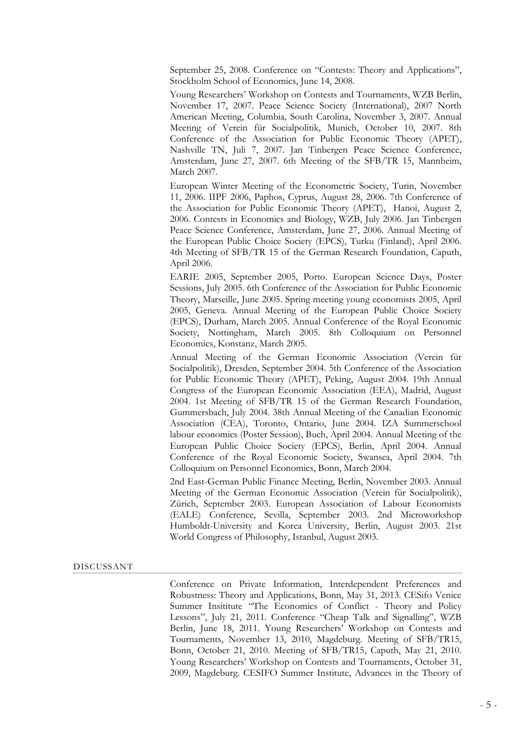September 25, 2008. Conference on "Contests: Theory and Applications", Stockholm School of Economics, June 14, 2008.

Young Researchers' Workshop on Contests and Tournaments, WZB Berlin, November 17, 2007. Peace Science Society (International), 2007 North American Meeting, Columbia, South Carolina, November 3, 2007. Annual Meeting of Verein für Socialpolitik, Munich, October 10, 2007. 8th Conference of the Association for Public Economic Theory (APET), Nashville TN, Juli 7, 2007. Jan Tinbergen Peace Science Conference, Amsterdam, June 27, 2007. 6th Meeting of the SFB/TR 15, Mannheim, March 2007.

European Winter Meeting of the Econometric Society, Turin, November 11, 2006. IIPF 2006, Paphos, Cyprus, August 28, 2006. 7th Conference of the Association for Public Economic Theory (APET), Hanoi, August 2, 2006. Contests in Economics and Biology, WZB, July 2006. Jan Tinbergen Peace Science Conference, Amsterdam, June 27, 2006. Annual Meeting of the European Public Choice Society (EPCS), Turku (Finland), April 2006. 4th Meeting of SFB/TR 15 of the German Research Foundation, Caputh, April 2006.

EARIE 2005, September 2005, Porto. European Science Days, Poster Sessions, July 2005. 6th Conference of the Association for Public Economic Theory, Marseille, June 2005. Spring meeting young economists 2005, April 2005, Geneva. Annual Meeting of the European Public Choice Society (EPCS), Durham, March 2005. Annual Conference of the Royal Economic Society, Nottingham, March 2005. 8th Colloquium on Personnel Economics, Konstanz, March 2005.

Annual Meeting of the German Economic Association (Verein für Socialpolitik), Dresden, September 2004. 5th Conference of the Association for Public Economic Theory (APET), Peking, August 2004. 19th Annual Congress of the European Economic Association (EEA), Madrid, August 2004. 1st Meeting of SFB/TR 15 of the German Research Foundation, Gummersbach, July 2004. 38th Annual Meeting of the Canadian Economic Association (CEA), Toronto, Ontario, June 2004. IZA Summerschool labour economics (Poster Session), Buch, April 2004. Annual Meeting of the European Public Choice Society (EPCS), Berlin, April 2004. Annual Conference of the Royal Economic Society, Swansea, April 2004. 7th Colloquium on Personnel Economics, Bonn, March 2004.

2nd East-German Public Finance Meeting, Berlin, November 2003. Annual Meeting of the German Economic Association (Verein für Socialpolitik), Zürich, September 2003. European Association of Labour Economists (EALE) Conference, Sevilla, September 2003. 2nd Microworkshop Humboldt-University and Korea University, Berlin, August 2003. 21st World Congress of Philosophy, Istanbul, August 2003.

#### DISCUSSANT

 Conference on Private Information, Interdependent Preferences and Robustness: Theory and Applications, Bonn, May 31, 2013. CESifo Venice Summer Insititute "The Economics of Conflict - Theory and Policy Lessons", July 21, 2011. Conference "Cheap Talk and Signalling", WZB Berlin, June 18, 2011. Young Researchers' Workshop on Contests and Tournaments, November 13, 2010, Magdeburg. Meeting of SFB/TR15, Bonn, October 21, 2010. Meeting of SFB/TR15, Caputh, May 21, 2010. Young Researchers' Workshop on Contests and Tournaments, October 31, 2009, Magdeburg. CESIFO Summer Institute, Advances in the Theory of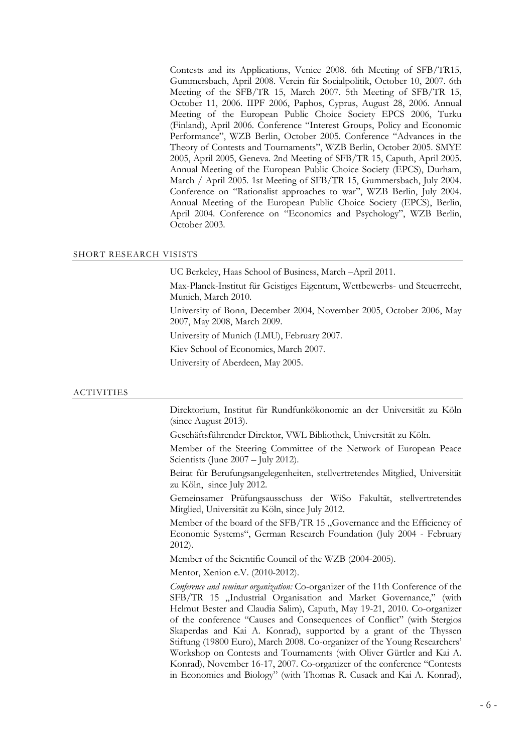Contests and its Applications, Venice 2008. 6th Meeting of SFB/TR15, Gummersbach, April 2008. Verein für Socialpolitik, October 10, 2007. 6th Meeting of the SFB/TR 15, March 2007. 5th Meeting of SFB/TR 15, October 11, 2006. IIPF 2006, Paphos, Cyprus, August 28, 2006. Annual Meeting of the European Public Choice Society EPCS 2006, Turku (Finland), April 2006. Conference "Interest Groups, Policy and Economic Performance", WZB Berlin, October 2005. Conference "Advances in the Theory of Contests and Tournaments", WZB Berlin, October 2005. SMYE 2005, April 2005, Geneva. 2nd Meeting of SFB/TR 15, Caputh, April 2005. Annual Meeting of the European Public Choice Society (EPCS), Durham, March / April 2005. 1st Meeting of SFB/TR 15, Gummersbach, July 2004. Conference on "Rationalist approaches to war", WZB Berlin, July 2004. Annual Meeting of the European Public Choice Society (EPCS), Berlin, April 2004. Conference on "Economics and Psychology", WZB Berlin, October 2003.

#### SHORT RESEARCH VISISTS

UC Berkeley, Haas School of Business, March –April 2011.

Max-Planck-Institut für Geistiges Eigentum, Wettbewerbs- und Steuerrecht, Munich, March 2010.

University of Bonn, December 2004, November 2005, October 2006, May 2007, May 2008, March 2009.

University of Munich (LMU), February 2007.

Kiev School of Economics, March 2007.

University of Aberdeen, May 2005.

#### ACTIVITIES

Direktorium, Institut für Rundfunkökonomie an der Universität zu Köln (since August 2013).

Geschäftsführender Direktor, VWL Bibliothek, Universität zu Köln.

Member of the Steering Committee of the Network of European Peace Scientists (June 2007 – July 2012).

Beirat für Berufungsangelegenheiten, stellvertretendes Mitglied, Universität zu Köln, since July 2012.

Gemeinsamer Prüfungsausschuss der WiSo Fakultät, stellvertretendes Mitglied, Universität zu Köln, since July 2012.

Member of the board of the SFB/TR 15, Governance and the Efficiency of Economic Systems", German Research Foundation (July 2004 - February 2012).

Member of the Scientific Council of the WZB (2004-2005).

Mentor, Xenion e.V. (2010-2012).

*Conference and seminar organization:* Co-organizer of the 11th Conference of the SFB/TR 15 "Industrial Organisation and Market Governance," (with Helmut Bester and Claudia Salim), Caputh, May 19-21, 2010. Co-organizer of the conference "Causes and Consequences of Conflict" (with Stergios Skaperdas and Kai A. Konrad), supported by a grant of the Thyssen Stiftung (19800 Euro), March 2008. Co-organizer of the Young Researchers' Workshop on Contests and Tournaments (with Oliver Gürtler and Kai A. Konrad), November 16-17, 2007. Co-organizer of the conference "Contests in Economics and Biology" (with Thomas R. Cusack and Kai A. Konrad),